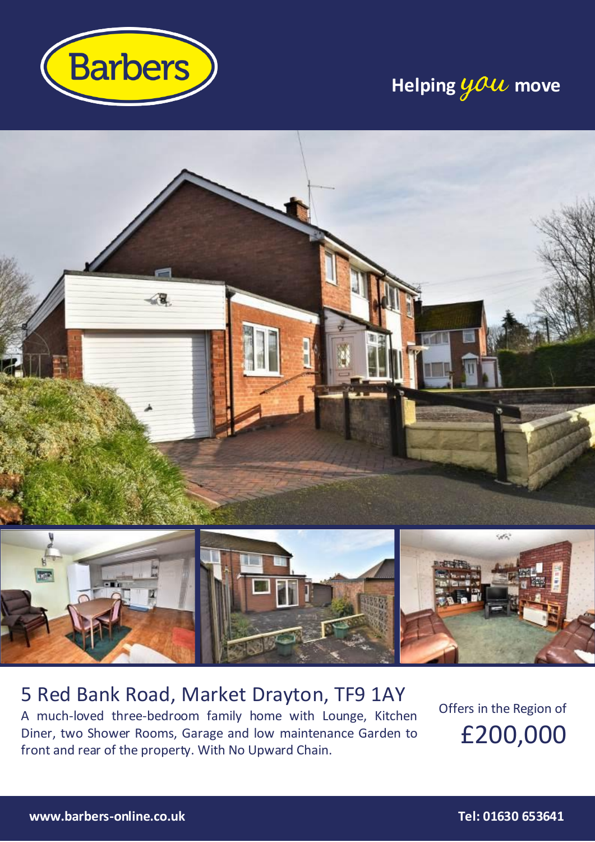

# **Helping you move**



### 5 Red Bank Road, Market Drayton, TF9 1AY A much-loved three-bedroom family home with Lounge, Kitchen Diner, two Shower Rooms, Garage and low maintenance Garden to front and rear of the property. With No Upward Chain.

Offers in the Region of £200,000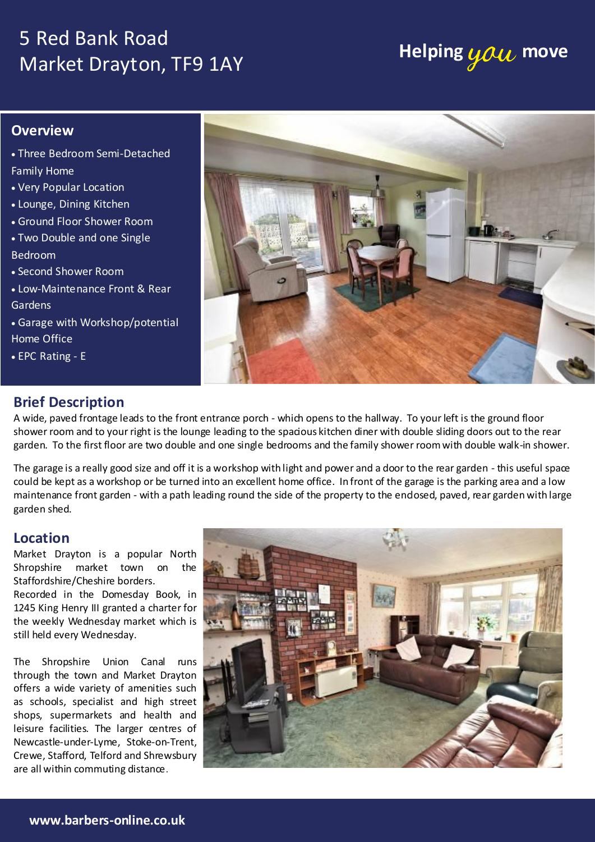### 5 Red Bank Road Market Drayton, TF9 1AY **Helping you move**

#### **Overview**

- Three Bedroom Semi-Detached Family Home
- Very Popular Location
- Lounge, Dining Kitchen
- Ground Floor Shower Room
- Two Double and one Single Bedroom
- Second Shower Room
- Low-Maintenance Front & Rear Gardens
- Garage with Workshop/potential Home Office
- EPC Rating E



#### **Brief Description**

A wide, paved frontage leads to the front entrance porch - which opens to the hallway. To your left is the ground floor shower room and to your right is the lounge leading to the spacious kitchen diner with double sliding doors out to the rear garden. To the first floor are two double and one single bedrooms and the family shower room with double walk-in shower.

The garage is a really good size and off it is a workshop with light and power and a door to the rear garden - this useful space could be kept as a workshop or be turned into an excellent home office. In front of the garage is the parking area and a low maintenance front garden - with a path leading round the side of the property to the endosed, paved, rear garden with large garden shed.

#### **Location**

Market Drayton is a popular North

Recorded in the Domesday Book, in 1245 King Henry III granted a charter for

through the town and Market Drayton offers a wide variety of amenities such  $\blacksquare$ as schools, specialist and high street shops, supermarkets and health and **11.63ml x 1.63ml x 1.63ml x 1.63ml x 1.63ml x 1.63ml x 1.63ml x 1.63ml x 1.6** leisure facilities. The larger centres of Newcastle-under-Lyme, Stoke-on-Trent, Crewe, Stafford, Telford and Shrewsbury are all within commuting distance. The Shropshire Union Canal runs



BEDROOM THREE 11' 08" 11" (3.56% 1.8m)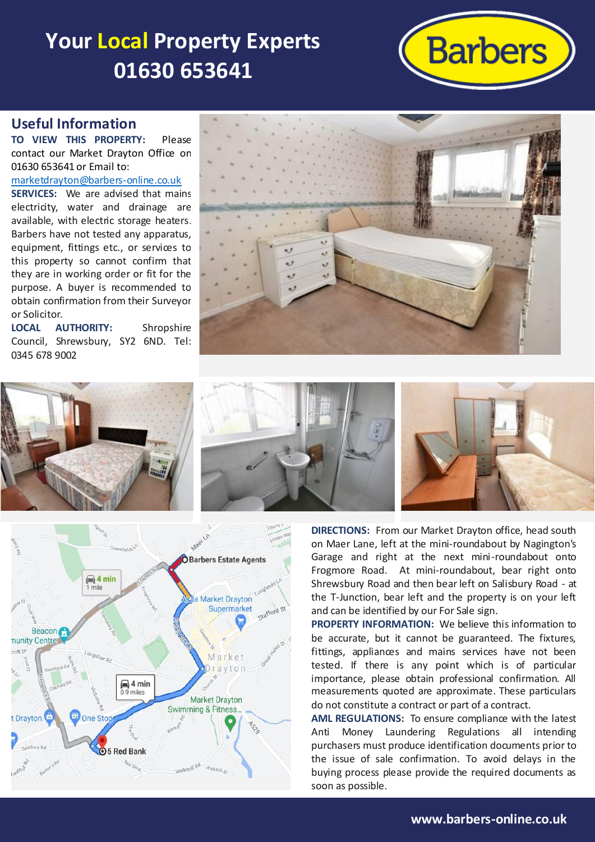## **Your Local Property Experts 01630 653641**



#### **Useful Information**

**TO VIEW THIS PROPERTY:** Please contact our Market Drayton Office on 01630 653641 or Email to:

[marketdrayton@barbers-online.co.uk](mailto:marketdrayton@barbers-online.co.uk)

**SERVICES:** We are advised that mains electricity, water and drainage are available, with electric storage heaters. Barbers have not tested any apparatus, equipment, fittings etc., or services to this property so cannot confirm that they are in working order or fit for the purpose. A buyer is recommended to obtain confirmation from their Surveyor or Solicitor.

**LOCAL AUTHORITY:** Shropshire Council, Shrewsbury, SY2 6ND. Tel: 0345 678 9002







**DIRECTIONS:** From our Market Drayton office, head south on Maer Lane, left at the mini-roundabout by Nagington's Garage and right at the next mini-roundabout onto Frogmore Road. At mini-roundabout, bear right onto Shrewsbury Road and then bear left on Salisbury Road - at the T-Junction, bear left and the property is on your left and can be identified by our For Sale sign.

**PROPERTY INFORMATION:** We believe this information to be accurate, but it cannot be guaranteed. The fixtures, fittings, appliances and mains services have not been tested. If there is any point which is of particular importance, please obtain professional confirmation. All measurements quoted are approximate. These particulars do not constitute a contract or part of a contract.

**AML REGULATIONS:** To ensure compliance with the latest Anti Money Laundering Regulations all intending purchasers must produce identification documents prior to the issue of sale confirmation. To avoid delays in the buying process please provide the required documents as soon as possible.